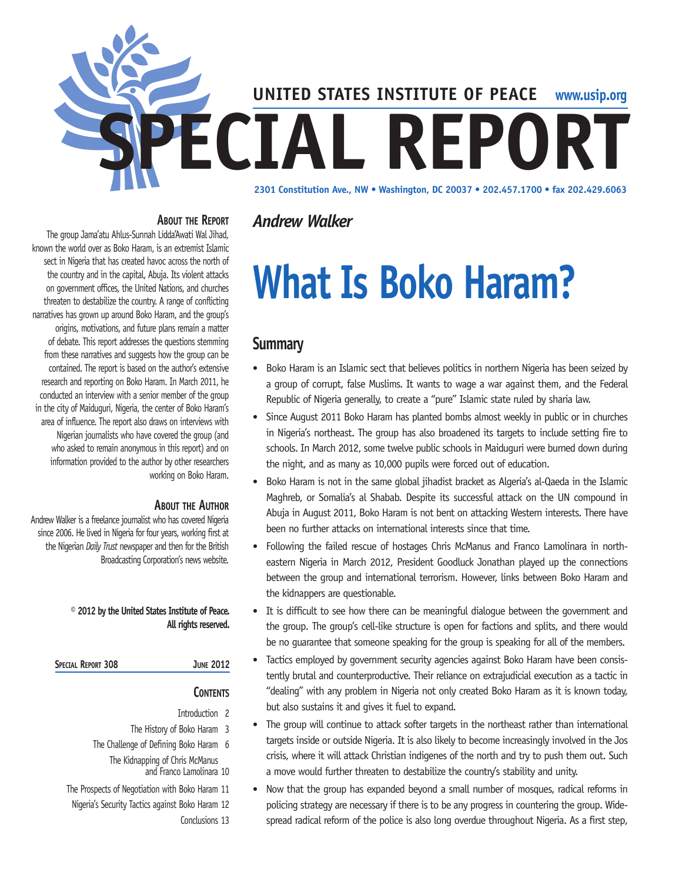

#### **About the Report** *Andrew Walker*

The group Jama'atu Ahlus-Sunnah Lidda'Awati Wal Jihad, known the world over as Boko Haram, is an extremist Islamic sect in Nigeria that has created havoc across the north of the country and in the capital, Abuja. Its violent attacks on government offices, the United Nations, and churches threaten to destabilize the country. A range of conflicting narratives has grown up around Boko Haram, and the group's origins, motivations, and future plans remain a matter of debate. This report addresses the questions stemming from these narratives and suggests how the group can be contained. The report is based on the author's extensive research and reporting on Boko Haram. In March 2011, he conducted an interview with a senior member of the group in the city of Maiduguri, Nigeria, the center of Boko Haram's area of influence. The report also draws on interviews with Nigerian journalists who have covered the group (and who asked to remain anonymous in this report) and on information provided to the author by other researchers working on Boko Haram.

#### **About the Author**

Andrew Walker is a freelance journalist who has covered Nigeria since 2006. He lived in Nigeria for four years, working first at the Nigerian *Daily Trust* newspaper and then for the British Broadcasting Corporation's news website.

#### **© 2012 by the United States Institute of Peace. All rights reserved.**

#### **Special Report 308 June 2012**

#### **Contents**

- Introduction 2
- The History of Boko Haram 3 The Challenge of Defining Boko Haram 6 The Kidnapping of Chris McManus and Franco Lamolinara 10
- The Prospects of Negotiation with Boko Haram 11 Nigeria's Security Tactics against Boko Haram 12 Conclusions 13

# **What Is Boko Haram?**

# **Summary**

- Boko Haram is an Islamic sect that believes politics in northern Nigeria has been seized by a group of corrupt, false Muslims. It wants to wage a war against them, and the Federal Republic of Nigeria generally, to create a "pure" Islamic state ruled by sharia law.
- Since August 2011 Boko Haram has planted bombs almost weekly in public or in churches in Nigeria's northeast. The group has also broadened its targets to include setting fire to schools. In March 2012, some twelve public schools in Maiduguri were burned down during the night, and as many as 10,000 pupils were forced out of education.
- Boko Haram is not in the same global jihadist bracket as Algeria's al-Qaeda in the Islamic Maghreb, or Somalia's al Shabab. Despite its successful attack on the UN compound in Abuja in August 2011, Boko Haram is not bent on attacking Western interests. There have been no further attacks on international interests since that time.
- Following the failed rescue of hostages Chris McManus and Franco Lamolinara in northeastern Nigeria in March 2012, President Goodluck Jonathan played up the connections between the group and international terrorism. However, links between Boko Haram and the kidnappers are questionable.
- It is difficult to see how there can be meaningful dialogue between the government and the group. The group's cell-like structure is open for factions and splits, and there would be no guarantee that someone speaking for the group is speaking for all of the members.
- Tactics employed by government security agencies against Boko Haram have been consistently brutal and counterproductive. Their reliance on extrajudicial execution as a tactic in "dealing" with any problem in Nigeria not only created Boko Haram as it is known today, but also sustains it and gives it fuel to expand.
- The group will continue to attack softer targets in the northeast rather than international targets inside or outside Nigeria. It is also likely to become increasingly involved in the Jos crisis, where it will attack Christian indigenes of the north and try to push them out. Such a move would further threaten to destabilize the country's stability and unity.
- Now that the group has expanded beyond a small number of mosques, radical reforms in policing strategy are necessary if there is to be any progress in countering the group. Widespread radical reform of the police is also long overdue throughout Nigeria. As a first step,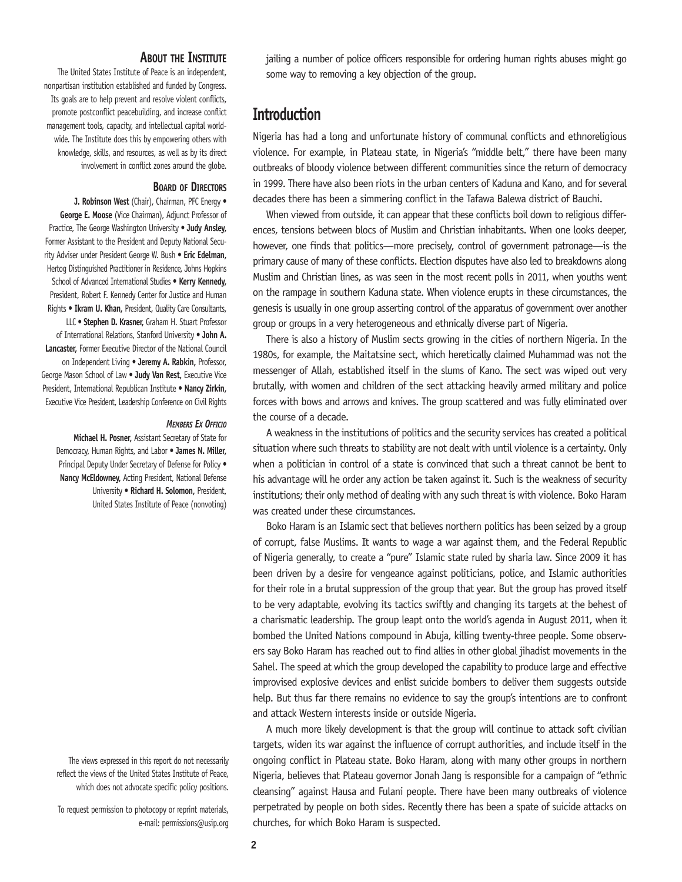#### **About the Institute**

The United States Institute of Peace is an independent, nonpartisan institution established and funded by Congress. Its goals are to help prevent and resolve violent conflicts, promote postconflict peacebuilding, and increase conflict management tools, capacity, and intellectual capital worldwide. The Institute does this by empowering others with knowledge, skills, and resources, as well as by its direct involvement in conflict zones around the globe.

#### **Board of Directors**

**J. Robinson West** (Chair), Chairman, PFC Energy • **George E. Moose** (Vice Chairman), Adjunct Professor of Practice, The George Washington University • **Judy Ansley,** Former Assistant to the President and Deputy National Security Adviser under President George W. Bush • **Eric Edelman,** Hertog Distinguished Practitioner in Residence, Johns Hopkins School of Advanced International Studies • **Kerry Kennedy,**  President, Robert F. Kennedy Center for Justice and Human Rights • **Ikram U. Khan,** President, Quality Care Consultants, LLC • **Stephen D. Krasner,** Graham H. Stuart Professor of International Relations, Stanford University • **John A. Lancaster,** Former Executive Director of the National Council on Independent Living • **Jeremy A. Rabkin,** Professor, George Mason School of Law • **Judy Van Rest,** Executive Vice President, International Republican Institute • **Nancy Zirkin,** Executive Vice President, Leadership Conference on Civil Rights

#### *Members Ex Officio*

**Michael H. Posner,** Assistant Secretary of State for Democracy, Human Rights, and Labor • **James N. Miller,**  Principal Deputy Under Secretary of Defense for Policy . **Nancy McEldowney,** Acting President, National Defense University • **Richard H. Solomon,** President, United States Institute of Peace (nonvoting)

The views expressed in this report do not necessarily reflect the views of the United States Institute of Peace, which does not advocate specific policy positions.

To request permission to photocopy or reprint materials, e-mail: permissions@usip.org jailing a number of police officers responsible for ordering human rights abuses might go some way to removing a key objection of the group.

#### **Introduction**

Nigeria has had a long and unfortunate history of communal conflicts and ethnoreligious violence. For example, in Plateau state, in Nigeria's "middle belt," there have been many outbreaks of bloody violence between different communities since the return of democracy in 1999. There have also been riots in the urban centers of Kaduna and Kano, and for several decades there has been a simmering conflict in the Tafawa Balewa district of Bauchi.

When viewed from outside, it can appear that these conflicts boil down to religious differences, tensions between blocs of Muslim and Christian inhabitants. When one looks deeper, however, one finds that politics—more precisely, control of government patronage—is the primary cause of many of these conflicts. Election disputes have also led to breakdowns along Muslim and Christian lines, as was seen in the most recent polls in 2011, when youths went on the rampage in southern Kaduna state. When violence erupts in these circumstances, the genesis is usually in one group asserting control of the apparatus of government over another group or groups in a very heterogeneous and ethnically diverse part of Nigeria.

There is also a history of Muslim sects growing in the cities of northern Nigeria. In the 1980s, for example, the Maitatsine sect, which heretically claimed Muhammad was not the messenger of Allah, established itself in the slums of Kano. The sect was wiped out very brutally, with women and children of the sect attacking heavily armed military and police forces with bows and arrows and knives. The group scattered and was fully eliminated over the course of a decade.

A weakness in the institutions of politics and the security services has created a political situation where such threats to stability are not dealt with until violence is a certainty. Only when a politician in control of a state is convinced that such a threat cannot be bent to his advantage will he order any action be taken against it. Such is the weakness of security institutions; their only method of dealing with any such threat is with violence. Boko Haram was created under these circumstances.

Boko Haram is an Islamic sect that believes northern politics has been seized by a group of corrupt, false Muslims. It wants to wage a war against them, and the Federal Republic of Nigeria generally, to create a "pure" Islamic state ruled by sharia law. Since 2009 it has been driven by a desire for vengeance against politicians, police, and Islamic authorities for their role in a brutal suppression of the group that year. But the group has proved itself to be very adaptable, evolving its tactics swiftly and changing its targets at the behest of a charismatic leadership. The group leapt onto the world's agenda in August 2011, when it bombed the United Nations compound in Abuja, killing twenty-three people. Some observers say Boko Haram has reached out to find allies in other global jihadist movements in the Sahel. The speed at which the group developed the capability to produce large and effective improvised explosive devices and enlist suicide bombers to deliver them suggests outside help. But thus far there remains no evidence to say the group's intentions are to confront and attack Western interests inside or outside Nigeria.

A much more likely development is that the group will continue to attack soft civilian targets, widen its war against the influence of corrupt authorities, and include itself in the ongoing conflict in Plateau state. Boko Haram, along with many other groups in northern Nigeria, believes that Plateau governor Jonah Jang is responsible for a campaign of "ethnic cleansing" against Hausa and Fulani people. There have been many outbreaks of violence perpetrated by people on both sides. Recently there has been a spate of suicide attacks on churches, for which Boko Haram is suspected.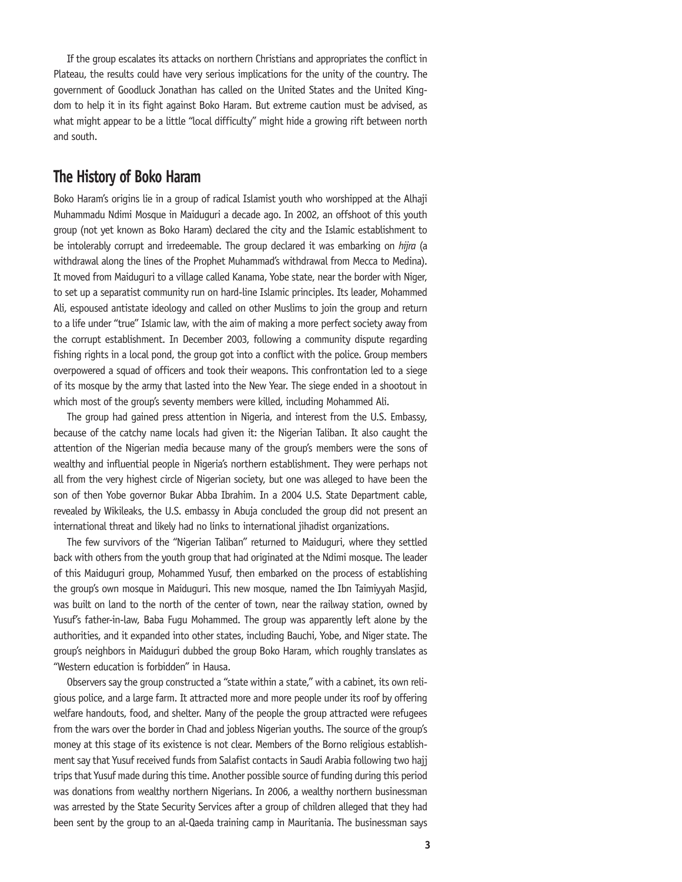If the group escalates its attacks on northern Christians and appropriates the conflict in Plateau, the results could have very serious implications for the unity of the country. The government of Goodluck Jonathan has called on the United States and the United Kingdom to help it in its fight against Boko Haram. But extreme caution must be advised, as what might appear to be a little "local difficulty" might hide a growing rift between north and south.

## **The History of Boko Haram**

Boko Haram's origins lie in a group of radical Islamist youth who worshipped at the Alhaji Muhammadu Ndimi Mosque in Maiduguri a decade ago. In 2002, an offshoot of this youth group (not yet known as Boko Haram) declared the city and the Islamic establishment to be intolerably corrupt and irredeemable. The group declared it was embarking on *hijra* (a withdrawal along the lines of the Prophet Muhammad's withdrawal from Mecca to Medina). It moved from Maiduguri to a village called Kanama, Yobe state, near the border with Niger, to set up a separatist community run on hard-line Islamic principles. Its leader, Mohammed Ali, espoused antistate ideology and called on other Muslims to join the group and return to a life under "true" Islamic law, with the aim of making a more perfect society away from the corrupt establishment. In December 2003, following a community dispute regarding fishing rights in a local pond, the group got into a conflict with the police. Group members overpowered a squad of officers and took their weapons. This confrontation led to a siege of its mosque by the army that lasted into the New Year. The siege ended in a shootout in which most of the group's seventy members were killed, including Mohammed Ali.

The group had gained press attention in Nigeria, and interest from the U.S. Embassy, because of the catchy name locals had given it: the Nigerian Taliban. It also caught the attention of the Nigerian media because many of the group's members were the sons of wealthy and influential people in Nigeria's northern establishment. They were perhaps not all from the very highest circle of Nigerian society, but one was alleged to have been the son of then Yobe governor Bukar Abba Ibrahim. In a 2004 U.S. State Department cable, revealed by Wikileaks, the U.S. embassy in Abuja concluded the group did not present an international threat and likely had no links to international jihadist organizations.

The few survivors of the "Nigerian Taliban" returned to Maiduguri, where they settled back with others from the youth group that had originated at the Ndimi mosque. The leader of this Maiduguri group, Mohammed Yusuf, then embarked on the process of establishing the group's own mosque in Maiduguri. This new mosque, named the Ibn Taimiyyah Masjid, was built on land to the north of the center of town, near the railway station, owned by Yusuf's father-in-law, Baba Fugu Mohammed. The group was apparently left alone by the authorities, and it expanded into other states, including Bauchi, Yobe, and Niger state. The group's neighbors in Maiduguri dubbed the group Boko Haram, which roughly translates as "Western education is forbidden" in Hausa.

Observers say the group constructed a "state within a state," with a cabinet, its own religious police, and a large farm. It attracted more and more people under its roof by offering welfare handouts, food, and shelter. Many of the people the group attracted were refugees from the wars over the border in Chad and jobless Nigerian youths. The source of the group's money at this stage of its existence is not clear. Members of the Borno religious establishment say that Yusuf received funds from Salafist contacts in Saudi Arabia following two hajj trips that Yusuf made during this time. Another possible source of funding during this period was donations from wealthy northern Nigerians. In 2006, a wealthy northern businessman was arrested by the State Security Services after a group of children alleged that they had been sent by the group to an al-Qaeda training camp in Mauritania. The businessman says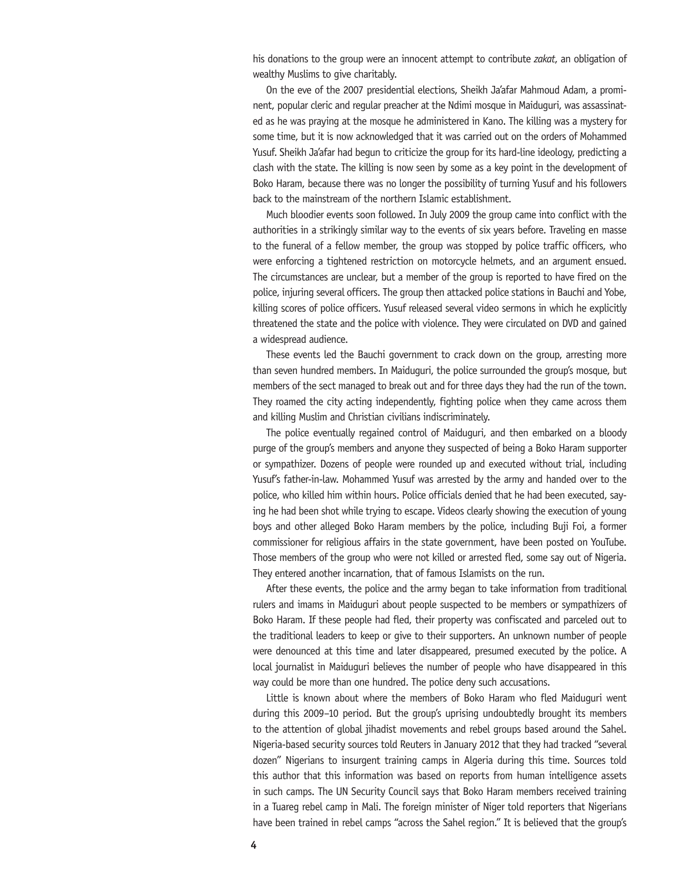his donations to the group were an innocent attempt to contribute *zakat*, an obligation of wealthy Muslims to give charitably.

On the eve of the 2007 presidential elections, Sheikh Ja'afar Mahmoud Adam, a prominent, popular cleric and regular preacher at the Ndimi mosque in Maiduguri, was assassinated as he was praying at the mosque he administered in Kano. The killing was a mystery for some time, but it is now acknowledged that it was carried out on the orders of Mohammed Yusuf. Sheikh Ja'afar had begun to criticize the group for its hard-line ideology, predicting a clash with the state. The killing is now seen by some as a key point in the development of Boko Haram, because there was no longer the possibility of turning Yusuf and his followers back to the mainstream of the northern Islamic establishment.

Much bloodier events soon followed. In July 2009 the group came into conflict with the authorities in a strikingly similar way to the events of six years before. Traveling en masse to the funeral of a fellow member, the group was stopped by police traffic officers, who were enforcing a tightened restriction on motorcycle helmets, and an argument ensued. The circumstances are unclear, but a member of the group is reported to have fired on the police, injuring several officers. The group then attacked police stations in Bauchi and Yobe, killing scores of police officers. Yusuf released several video sermons in which he explicitly threatened the state and the police with violence. They were circulated on DVD and gained a widespread audience.

These events led the Bauchi government to crack down on the group, arresting more than seven hundred members. In Maiduguri, the police surrounded the group's mosque, but members of the sect managed to break out and for three days they had the run of the town. They roamed the city acting independently, fighting police when they came across them and killing Muslim and Christian civilians indiscriminately.

The police eventually regained control of Maiduguri, and then embarked on a bloody purge of the group's members and anyone they suspected of being a Boko Haram supporter or sympathizer. Dozens of people were rounded up and executed without trial, including Yusuf's father-in-law. Mohammed Yusuf was arrested by the army and handed over to the police, who killed him within hours. Police officials denied that he had been executed, saying he had been shot while trying to escape. Videos clearly showing the execution of young boys and other alleged Boko Haram members by the police, including Buji Foi, a former commissioner for religious affairs in the state government, have been posted on YouTube. Those members of the group who were not killed or arrested fled, some say out of Nigeria. They entered another incarnation, that of famous Islamists on the run.

After these events, the police and the army began to take information from traditional rulers and imams in Maiduguri about people suspected to be members or sympathizers of Boko Haram. If these people had fled, their property was confiscated and parceled out to the traditional leaders to keep or give to their supporters. An unknown number of people were denounced at this time and later disappeared, presumed executed by the police. A local journalist in Maiduguri believes the number of people who have disappeared in this way could be more than one hundred. The police deny such accusations.

Little is known about where the members of Boko Haram who fled Maiduguri went during this 2009–10 period. But the group's uprising undoubtedly brought its members to the attention of global jihadist movements and rebel groups based around the Sahel. Nigeria-based security sources told Reuters in January 2012 that they had tracked "several dozen" Nigerians to insurgent training camps in Algeria during this time. Sources told this author that this information was based on reports from human intelligence assets in such camps. The UN Security Council says that Boko Haram members received training in a Tuareg rebel camp in Mali. The foreign minister of Niger told reporters that Nigerians have been trained in rebel camps "across the Sahel region." It is believed that the group's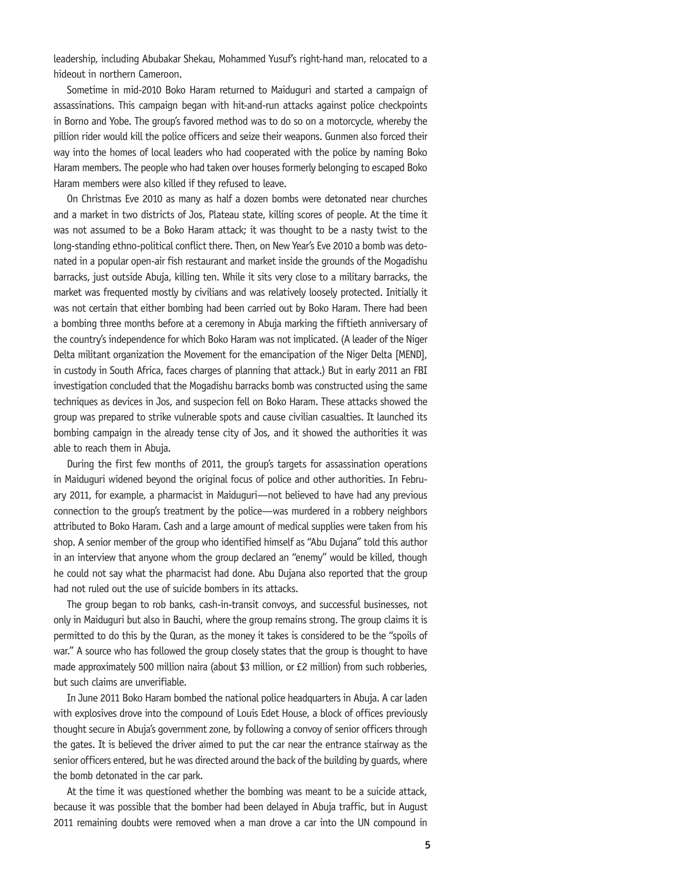leadership, including Abubakar Shekau, Mohammed Yusuf's right-hand man, relocated to a hideout in northern Cameroon.

Sometime in mid-2010 Boko Haram returned to Maiduguri and started a campaign of assassinations. This campaign began with hit-and-run attacks against police checkpoints in Borno and Yobe. The group's favored method was to do so on a motorcycle, whereby the pillion rider would kill the police officers and seize their weapons. Gunmen also forced their way into the homes of local leaders who had cooperated with the police by naming Boko Haram members. The people who had taken over houses formerly belonging to escaped Boko Haram members were also killed if they refused to leave.

On Christmas Eve 2010 as many as half a dozen bombs were detonated near churches and a market in two districts of Jos, Plateau state, killing scores of people. At the time it was not assumed to be a Boko Haram attack; it was thought to be a nasty twist to the long-standing ethno-political conflict there. Then, on New Year's Eve 2010 a bomb was detonated in a popular open-air fish restaurant and market inside the grounds of the Mogadishu barracks, just outside Abuja, killing ten. While it sits very close to a military barracks, the market was frequented mostly by civilians and was relatively loosely protected. Initially it was not certain that either bombing had been carried out by Boko Haram. There had been a bombing three months before at a ceremony in Abuja marking the fiftieth anniversary of the country's independence for which Boko Haram was not implicated. (A leader of the Niger Delta militant organization the Movement for the emancipation of the Niger Delta [MEND], in custody in South Africa, faces charges of planning that attack.) But in early 2011 an FBI investigation concluded that the Mogadishu barracks bomb was constructed using the same techniques as devices in Jos, and suspecion fell on Boko Haram. These attacks showed the group was prepared to strike vulnerable spots and cause civilian casualties. It launched its bombing campaign in the already tense city of Jos, and it showed the authorities it was able to reach them in Abuja.

During the first few months of 2011, the group's targets for assassination operations in Maiduguri widened beyond the original focus of police and other authorities. In February 2011, for example, a pharmacist in Maiduguri—not believed to have had any previous connection to the group's treatment by the police—was murdered in a robbery neighbors attributed to Boko Haram. Cash and a large amount of medical supplies were taken from his shop. A senior member of the group who identified himself as "Abu Dujana" told this author in an interview that anyone whom the group declared an "enemy" would be killed, though he could not say what the pharmacist had done. Abu Dujana also reported that the group had not ruled out the use of suicide bombers in its attacks.

The group began to rob banks, cash-in-transit convoys, and successful businesses, not only in Maiduguri but also in Bauchi, where the group remains strong. The group claims it is permitted to do this by the Quran, as the money it takes is considered to be the "spoils of war." A source who has followed the group closely states that the group is thought to have made approximately 500 million naira (about \$3 million, or £2 million) from such robberies, but such claims are unverifiable.

In June 2011 Boko Haram bombed the national police headquarters in Abuja. A car laden with explosives drove into the compound of Louis Edet House, a block of offices previously thought secure in Abuja's government zone, by following a convoy of senior officers through the gates. It is believed the driver aimed to put the car near the entrance stairway as the senior officers entered, but he was directed around the back of the building by guards, where the bomb detonated in the car park.

At the time it was questioned whether the bombing was meant to be a suicide attack, because it was possible that the bomber had been delayed in Abuja traffic, but in August 2011 remaining doubts were removed when a man drove a car into the UN compound in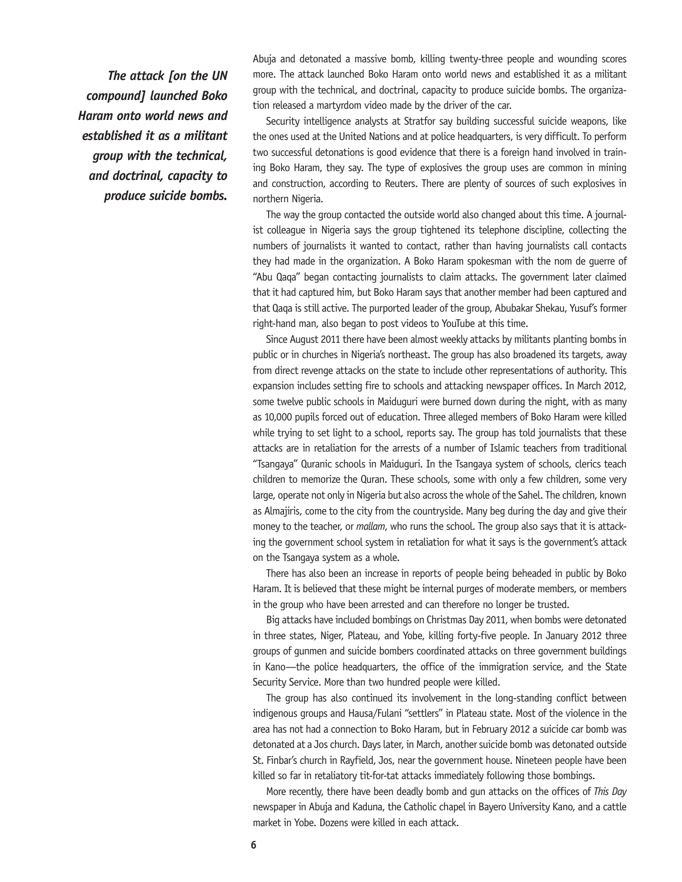*The attack [on the UN compound] launched Boko Haram onto world news and established it as a militant group with the technical, and doctrinal, capacity to produce suicide bombs.*

Abuja and detonated a massive bomb, killing twenty-three people and wounding scores more. The attack launched Boko Haram onto world news and established it as a militant group with the technical, and doctrinal, capacity to produce suicide bombs. The organization released a martyrdom video made by the driver of the car.

Security intelligence analysts at Stratfor say building successful suicide weapons, like the ones used at the United Nations and at police headquarters, is very difficult. To perform two successful detonations is good evidence that there is a foreign hand involved in training Boko Haram, they say. The type of explosives the group uses are common in mining and construction, according to Reuters. There are plenty of sources of such explosives in northern Nigeria.

The way the group contacted the outside world also changed about this time. A journalist colleague in Nigeria says the group tightened its telephone discipline, collecting the numbers of journalists it wanted to contact, rather than having journalists call contacts they had made in the organization. A Boko Haram spokesman with the nom de guerre of "Abu Qaqa" began contacting journalists to claim attacks. The government later claimed that it had captured him, but Boko Haram says that another member had been captured and that Qaqa is still active. The purported leader of the group, Abubakar Shekau, Yusuf's former right-hand man, also began to post videos to YouTube at this time.

Since August 2011 there have been almost weekly attacks by militants planting bombs in public or in churches in Nigeria's northeast. The group has also broadened its targets, away from direct revenge attacks on the state to include other representations of authority. This expansion includes setting fire to schools and attacking newspaper offices. In March 2012, some twelve public schools in Maiduguri were burned down during the night, with as many as 10,000 pupils forced out of education. Three alleged members of Boko Haram were killed while trying to set light to a school, reports say. The group has told journalists that these attacks are in retaliation for the arrests of a number of Islamic teachers from traditional "Tsangaya" Quranic schools in Maiduguri. In the Tsangaya system of schools, clerics teach children to memorize the Quran. These schools, some with only a few children, some very large, operate not only in Nigeria but also across the whole of the Sahel. The children, known as Almajiris, come to the city from the countryside. Many beg during the day and give their money to the teacher, or *mallam*, who runs the school. The group also says that it is attacking the government school system in retaliation for what it says is the government's attack on the Tsangaya system as a whole.

There has also been an increase in reports of people being beheaded in public by Boko Haram. It is believed that these might be internal purges of moderate members, or members in the group who have been arrested and can therefore no longer be trusted.

Big attacks have included bombings on Christmas Day 2011, when bombs were detonated in three states, Niger, Plateau, and Yobe, killing forty-five people. In January 2012 three groups of gunmen and suicide bombers coordinated attacks on three government buildings in Kano—the police headquarters, the office of the immigration service, and the State Security Service. More than two hundred people were killed.

The group has also continued its involvement in the long-standing conflict between indigenous groups and Hausa/Fulani "settlers" in Plateau state. Most of the violence in the area has not had a connection to Boko Haram, but in February 2012 a suicide car bomb was detonated at a Jos church. Days later, in March, another suicide bomb was detonated outside St. Finbar's church in Rayfield, Jos, near the government house. Nineteen people have been killed so far in retaliatory tit-for-tat attacks immediately following those bombings.

More recently, there have been deadly bomb and gun attacks on the offices of *This Day*  newspaper in Abuja and Kaduna, the Catholic chapel in Bayero University Kano, and a cattle market in Yobe. Dozens were killed in each attack.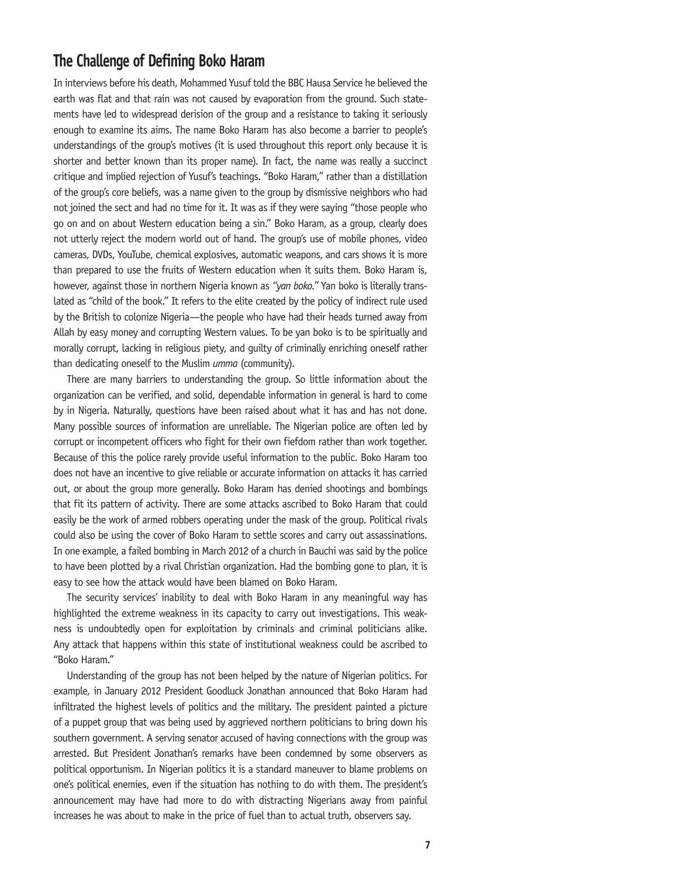# **The Challenge of Defining Boko Haram**

In interviews before his death, Mohammed Yusuf told the BBC Hausa Service he believed the earth was flat and that rain was not caused by evaporation from the ground. Such statements have led to widespread derision of the group and a resistance to taking it seriously enough to examine its aims. The name Boko Haram has also become a barrier to people's understandings of the group's motives (it is used throughout this report only because it is shorter and better known than its proper name). In fact, the name was really a succinct critique and implied rejection of Yusuf's teachings. "Boko Haram," rather than a distillation of the group's core beliefs, was a name given to the group by dismissive neighbors who had not joined the sect and had no time for it. It was as if they were saying "those people who go on and on about Western education being a sin." Boko Haram, as a group, clearly does not utterly reject the modern world out of hand. The group's use of mobile phones, video cameras, DVDs, YouTube, chemical explosives, automatic weapons, and cars shows it is more than prepared to use the fruits of Western education when it suits them. Boko Haram is, however, against those in northern Nigeria known as *"yan boko."* Yan boko is literally translated as "child of the book." It refers to the elite created by the policy of indirect rule used by the British to colonize Nigeria—the people who have had their heads turned away from Allah by easy money and corrupting Western values. To be yan boko is to be spiritually and morally corrupt, lacking in religious piety, and guilty of criminally enriching oneself rather than dedicating oneself to the Muslim *umma* (community).

There are many barriers to understanding the group. So little information about the organization can be verified, and solid, dependable information in general is hard to come by in Nigeria. Naturally, questions have been raised about what it has and has not done. Many possible sources of information are unreliable. The Nigerian police are often led by corrupt or incompetent officers who fight for their own fiefdom rather than work together. Because of this the police rarely provide useful information to the public. Boko Haram too does not have an incentive to give reliable or accurate information on attacks it has carried out, or about the group more generally. Boko Haram has denied shootings and bombings that fit its pattern of activity. There are some attacks ascribed to Boko Haram that could easily be the work of armed robbers operating under the mask of the group. Political rivals could also be using the cover of Boko Haram to settle scores and carry out assassinations. In one example, a failed bombing in March 2012 of a church in Bauchi was said by the police to have been plotted by a rival Christian organization. Had the bombing gone to plan, it is easy to see how the attack would have been blamed on Boko Haram.

The security services' inability to deal with Boko Haram in any meaningful way has highlighted the extreme weakness in its capacity to carry out investigations. This weakness is undoubtedly open for exploitation by criminals and criminal politicians alike. Any attack that happens within this state of institutional weakness could be ascribed to "Boko Haram."

Understanding of the group has not been helped by the nature of Nigerian politics. For example, in January 2012 President Goodluck Jonathan announced that Boko Haram had infiltrated the highest levels of politics and the military. The president painted a picture of a puppet group that was being used by aggrieved northern politicians to bring down his southern government. A serving senator accused of having connections with the group was arrested. But President Jonathan's remarks have been condemned by some observers as political opportunism. In Nigerian politics it is a standard maneuver to blame problems on one's political enemies, even if the situation has nothing to do with them. The president's announcement may have had more to do with distracting Nigerians away from painful increases he was about to make in the price of fuel than to actual truth, observers say.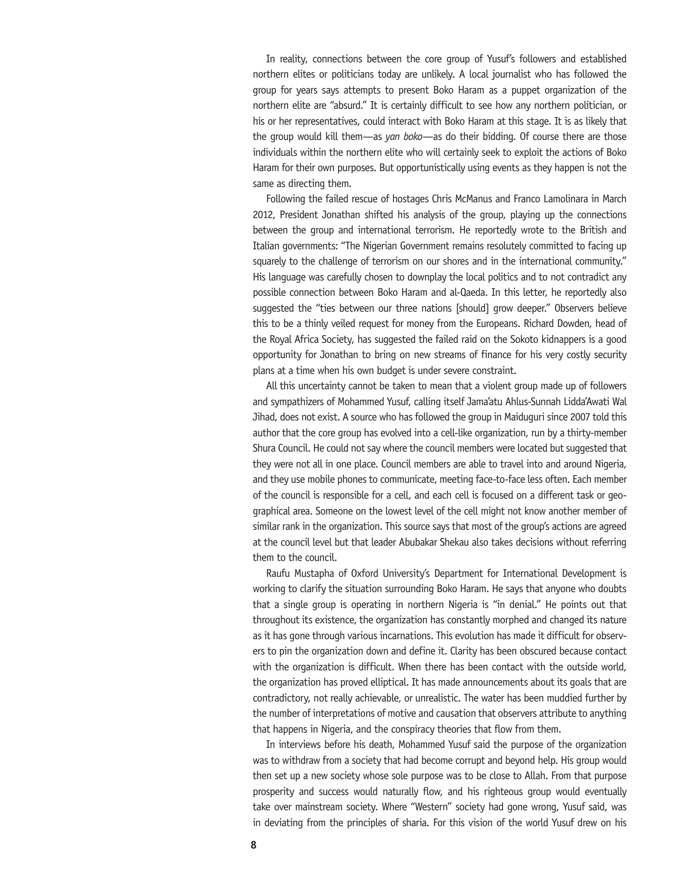In reality, connections between the core group of Yusuf's followers and established northern elites or politicians today are unlikely. A local journalist who has followed the group for years says attempts to present Boko Haram as a puppet organization of the northern elite are "absurd." It is certainly difficult to see how any northern politician, or his or her representatives, could interact with Boko Haram at this stage. It is as likely that the group would kill them—as *yan boko*—as do their bidding. Of course there are those individuals within the northern elite who will certainly seek to exploit the actions of Boko Haram for their own purposes. But opportunistically using events as they happen is not the same as directing them.

Following the failed rescue of hostages Chris McManus and Franco Lamolinara in March 2012, President Jonathan shifted his analysis of the group, playing up the connections between the group and international terrorism. He reportedly wrote to the British and Italian governments: "The Nigerian Government remains resolutely committed to facing up squarely to the challenge of terrorism on our shores and in the international community." His language was carefully chosen to downplay the local politics and to not contradict any possible connection between Boko Haram and al-Qaeda. In this letter, he reportedly also suggested the "ties between our three nations [should] grow deeper." Observers believe this to be a thinly veiled request for money from the Europeans. Richard Dowden, head of the Royal Africa Society, has suggested the failed raid on the Sokoto kidnappers is a good opportunity for Jonathan to bring on new streams of finance for his very costly security plans at a time when his own budget is under severe constraint.

All this uncertainty cannot be taken to mean that a violent group made up of followers and sympathizers of Mohammed Yusuf, calling itself Jama'atu Ahlus-Sunnah Lidda'Awati Wal Jihad, does not exist. A source who has followed the group in Maiduguri since 2007 told this author that the core group has evolved into a cell-like organization, run by a thirty-member Shura Council. He could not say where the council members were located but suggested that they were not all in one place. Council members are able to travel into and around Nigeria, and they use mobile phones to communicate, meeting face-to-face less often. Each member of the council is responsible for a cell, and each cell is focused on a different task or geographical area. Someone on the lowest level of the cell might not know another member of similar rank in the organization. This source says that most of the group's actions are agreed at the council level but that leader Abubakar Shekau also takes decisions without referring them to the council.

Raufu Mustapha of Oxford University's Department for International Development is working to clarify the situation surrounding Boko Haram. He says that anyone who doubts that a single group is operating in northern Nigeria is "in denial." He points out that throughout its existence, the organization has constantly morphed and changed its nature as it has gone through various incarnations. This evolution has made it difficult for observers to pin the organization down and define it. Clarity has been obscured because contact with the organization is difficult. When there has been contact with the outside world, the organization has proved elliptical. It has made announcements about its goals that are contradictory, not really achievable, or unrealistic. The water has been muddied further by the number of interpretations of motive and causation that observers attribute to anything that happens in Nigeria, and the conspiracy theories that flow from them.

In interviews before his death, Mohammed Yusuf said the purpose of the organization was to withdraw from a society that had become corrupt and beyond help. His group would then set up a new society whose sole purpose was to be close to Allah. From that purpose prosperity and success would naturally flow, and his righteous group would eventually take over mainstream society. Where "Western" society had gone wrong, Yusuf said, was in deviating from the principles of sharia. For this vision of the world Yusuf drew on his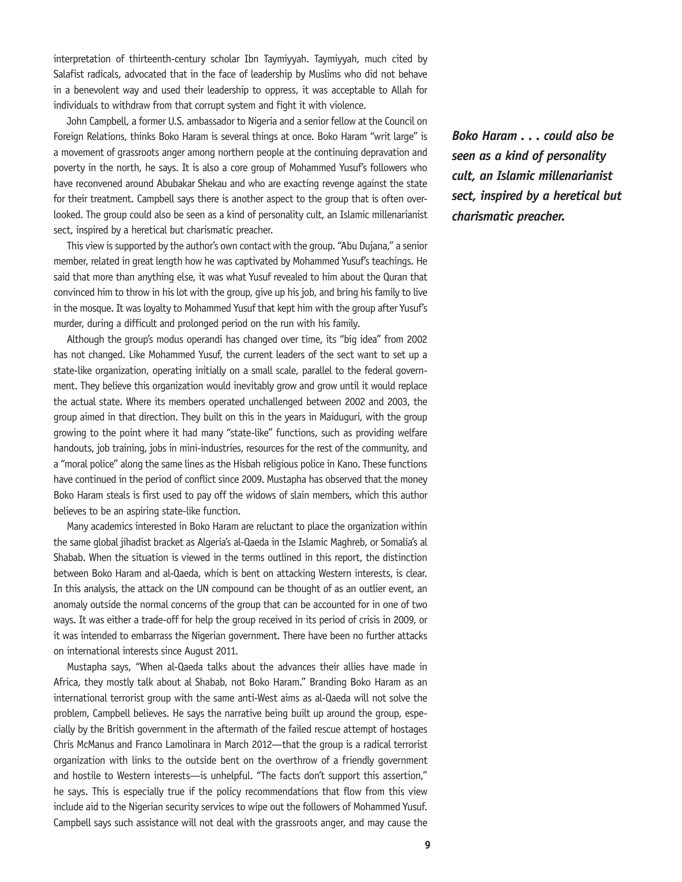interpretation of thirteenth-century scholar Ibn Taymiyyah. Taymiyyah, much cited by Salafist radicals, advocated that in the face of leadership by Muslims who did not behave in a benevolent way and used their leadership to oppress, it was acceptable to Allah for individuals to withdraw from that corrupt system and fight it with violence.

John Campbell, a former U.S. ambassador to Nigeria and a senior fellow at the Council on Foreign Relations, thinks Boko Haram is several things at once. Boko Haram "writ large" is a movement of grassroots anger among northern people at the continuing depravation and poverty in the north, he says. It is also a core group of Mohammed Yusuf's followers who have reconvened around Abubakar Shekau and who are exacting revenge against the state for their treatment. Campbell says there is another aspect to the group that is often overlooked. The group could also be seen as a kind of personality cult, an Islamic millenarianist sect, inspired by a heretical but charismatic preacher.

This view is supported by the author's own contact with the group. "Abu Dujana," a senior member, related in great length how he was captivated by Mohammed Yusuf's teachings. He said that more than anything else, it was what Yusuf revealed to him about the Quran that convinced him to throw in his lot with the group, give up his job, and bring his family to live in the mosque. It was loyalty to Mohammed Yusuf that kept him with the group after Yusuf's murder, during a difficult and prolonged period on the run with his family.

Although the group's modus operandi has changed over time, its "big idea" from 2002 has not changed. Like Mohammed Yusuf, the current leaders of the sect want to set up a state-like organization, operating initially on a small scale, parallel to the federal government. They believe this organization would inevitably grow and grow until it would replace the actual state. Where its members operated unchallenged between 2002 and 2003, the group aimed in that direction. They built on this in the years in Maiduguri, with the group growing to the point where it had many "state-like" functions, such as providing welfare handouts, job training, jobs in mini-industries, resources for the rest of the community, and a "moral police" along the same lines as the Hisbah religious police in Kano. These functions have continued in the period of conflict since 2009. Mustapha has observed that the money Boko Haram steals is first used to pay off the widows of slain members, which this author believes to be an aspiring state-like function.

Many academics interested in Boko Haram are reluctant to place the organization within the same global jihadist bracket as Algeria's al-Qaeda in the Islamic Maghreb, or Somalia's al Shabab. When the situation is viewed in the terms outlined in this report, the distinction between Boko Haram and al-Qaeda, which is bent on attacking Western interests, is clear. In this analysis, the attack on the UN compound can be thought of as an outlier event, an anomaly outside the normal concerns of the group that can be accounted for in one of two ways. It was either a trade-off for help the group received in its period of crisis in 2009, or it was intended to embarrass the Nigerian government. There have been no further attacks on international interests since August 2011.

Mustapha says, "When al-Qaeda talks about the advances their allies have made in Africa, they mostly talk about al Shabab, not Boko Haram." Branding Boko Haram as an international terrorist group with the same anti-West aims as al-Qaeda will not solve the problem, Campbell believes. He says the narrative being built up around the group, especially by the British government in the aftermath of the failed rescue attempt of hostages Chris McManus and Franco Lamolinara in March 2012—that the group is a radical terrorist organization with links to the outside bent on the overthrow of a friendly government and hostile to Western interests—is unhelpful. "The facts don't support this assertion," he says. This is especially true if the policy recommendations that flow from this view include aid to the Nigerian security services to wipe out the followers of Mohammed Yusuf. Campbell says such assistance will not deal with the grassroots anger, and may cause the *Boko Haram . . . could also be seen as a kind of personality cult, an Islamic millenarianist sect, inspired by a heretical but charismatic preacher.*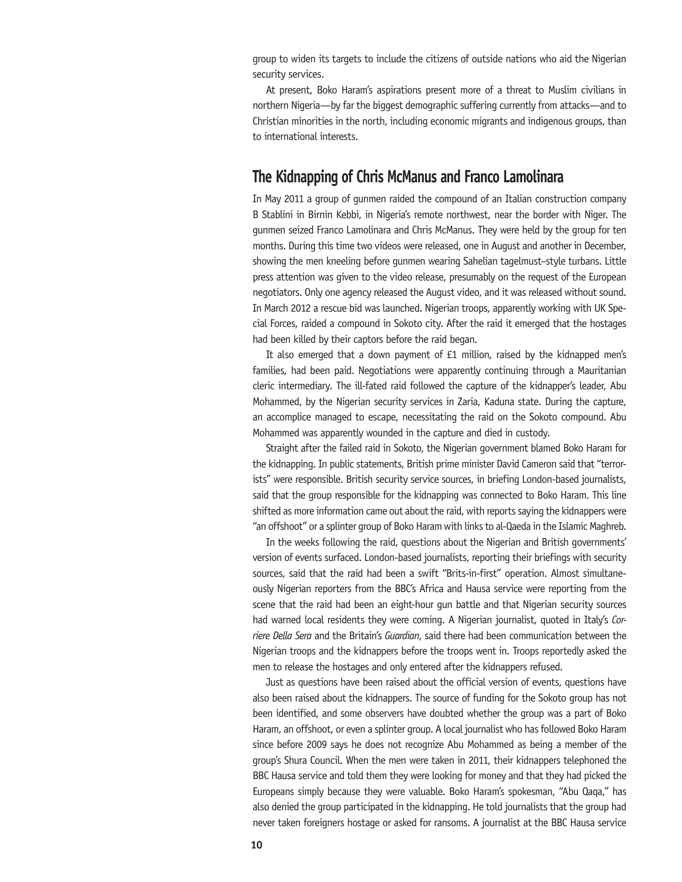group to widen its targets to include the citizens of outside nations who aid the Nigerian security services.

At present, Boko Haram's aspirations present more of a threat to Muslim civilians in northern Nigeria—by far the biggest demographic suffering currently from attacks—and to Christian minorities in the north, including economic migrants and indigenous groups, than to international interests.

### **The Kidnapping of Chris McManus and Franco Lamolinara**

In May 2011 a group of gunmen raided the compound of an Italian construction company B Stablini in Birnin Kebbi, in Nigeria's remote northwest, near the border with Niger. The gunmen seized Franco Lamolinara and Chris McManus. They were held by the group for ten months. During this time two videos were released, one in August and another in December, showing the men kneeling before gunmen wearing Sahelian tagelmust–style turbans. Little press attention was given to the video release, presumably on the request of the European negotiators. Only one agency released the August video, and it was released without sound. In March 2012 a rescue bid was launched. Nigerian troops, apparently working with UK Special Forces, raided a compound in Sokoto city. After the raid it emerged that the hostages had been killed by their captors before the raid began.

It also emerged that a down payment of £1 million, raised by the kidnapped men's families, had been paid. Negotiations were apparently continuing through a Mauritanian cleric intermediary. The ill-fated raid followed the capture of the kidnapper's leader, Abu Mohammed, by the Nigerian security services in Zaria, Kaduna state. During the capture, an accomplice managed to escape, necessitating the raid on the Sokoto compound. Abu Mohammed was apparently wounded in the capture and died in custody.

Straight after the failed raid in Sokoto, the Nigerian government blamed Boko Haram for the kidnapping. In public statements, British prime minister David Cameron said that "terrorists" were responsible. British security service sources, in briefing London-based journalists, said that the group responsible for the kidnapping was connected to Boko Haram. This line shifted as more information came out about the raid, with reports saying the kidnappers were "an offshoot" or a splinter group of Boko Haram with links to al-Qaeda in the Islamic Maghreb.

In the weeks following the raid, questions about the Nigerian and British governments' version of events surfaced. London-based journalists, reporting their briefings with security sources, said that the raid had been a swift "Brits-in-first" operation. Almost simultaneously Nigerian reporters from the BBC's Africa and Hausa service were reporting from the scene that the raid had been an eight-hour gun battle and that Nigerian security sources had warned local residents they were coming. A Nigerian journalist, quoted in Italy's *Corriere Della Sera* and the Britain's *Guardian*, said there had been communication between the Nigerian troops and the kidnappers before the troops went in. Troops reportedly asked the men to release the hostages and only entered after the kidnappers refused.

Just as questions have been raised about the official version of events, questions have also been raised about the kidnappers. The source of funding for the Sokoto group has not been identified, and some observers have doubted whether the group was a part of Boko Haram, an offshoot, or even a splinter group. A local journalist who has followed Boko Haram since before 2009 says he does not recognize Abu Mohammed as being a member of the group's Shura Council. When the men were taken in 2011, their kidnappers telephoned the BBC Hausa service and told them they were looking for money and that they had picked the Europeans simply because they were valuable. Boko Haram's spokesman, "Abu Qaqa," has also denied the group participated in the kidnapping. He told journalists that the group had never taken foreigners hostage or asked for ransoms. A journalist at the BBC Hausa service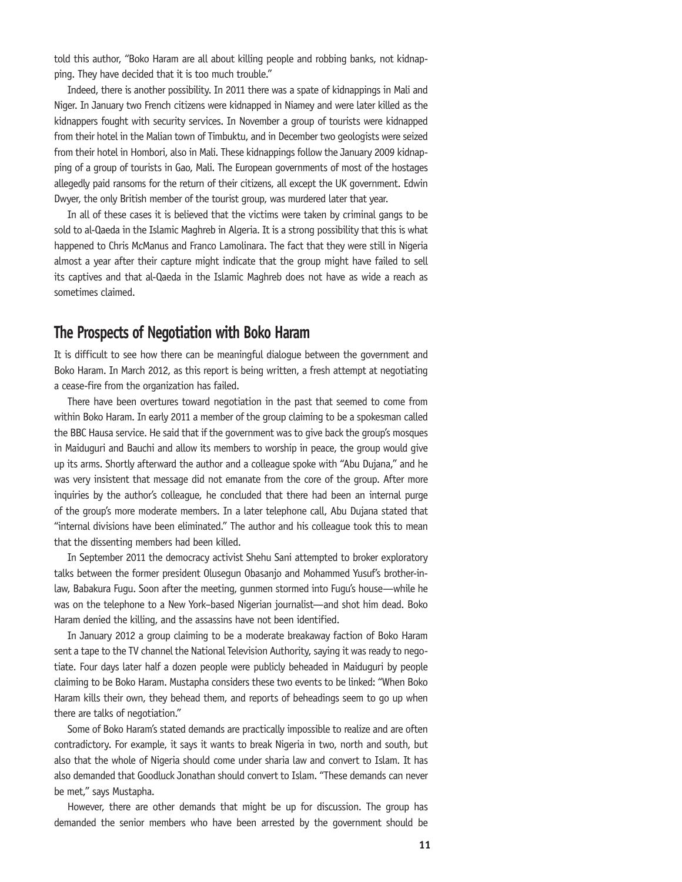told this author, "Boko Haram are all about killing people and robbing banks, not kidnapping. They have decided that it is too much trouble."

Indeed, there is another possibility. In 2011 there was a spate of kidnappings in Mali and Niger. In January two French citizens were kidnapped in Niamey and were later killed as the kidnappers fought with security services. In November a group of tourists were kidnapped from their hotel in the Malian town of Timbuktu, and in December two geologists were seized from their hotel in Hombori, also in Mali. These kidnappings follow the January 2009 kidnapping of a group of tourists in Gao, Mali. The European governments of most of the hostages allegedly paid ransoms for the return of their citizens, all except the UK government. Edwin Dwyer, the only British member of the tourist group, was murdered later that year.

In all of these cases it is believed that the victims were taken by criminal gangs to be sold to al-Qaeda in the Islamic Maghreb in Algeria. It is a strong possibility that this is what happened to Chris McManus and Franco Lamolinara. The fact that they were still in Nigeria almost a year after their capture might indicate that the group might have failed to sell its captives and that al-Qaeda in the Islamic Maghreb does not have as wide a reach as sometimes claimed.

## **The Prospects of Negotiation with Boko Haram**

It is difficult to see how there can be meaningful dialogue between the government and Boko Haram. In March 2012, as this report is being written, a fresh attempt at negotiating a cease-fire from the organization has failed.

There have been overtures toward negotiation in the past that seemed to come from within Boko Haram. In early 2011 a member of the group claiming to be a spokesman called the BBC Hausa service. He said that if the government was to give back the group's mosques in Maiduguri and Bauchi and allow its members to worship in peace, the group would give up its arms. Shortly afterward the author and a colleague spoke with "Abu Dujana," and he was very insistent that message did not emanate from the core of the group. After more inquiries by the author's colleague, he concluded that there had been an internal purge of the group's more moderate members. In a later telephone call, Abu Dujana stated that "internal divisions have been eliminated." The author and his colleague took this to mean that the dissenting members had been killed.

In September 2011 the democracy activist Shehu Sani attempted to broker exploratory talks between the former president Olusegun Obasanjo and Mohammed Yusuf's brother-inlaw, Babakura Fugu. Soon after the meeting, gunmen stormed into Fugu's house—while he was on the telephone to a New York–based Nigerian journalist—and shot him dead. Boko Haram denied the killing, and the assassins have not been identified.

In January 2012 a group claiming to be a moderate breakaway faction of Boko Haram sent a tape to the TV channel the National Television Authority, saying it was ready to negotiate. Four days later half a dozen people were publicly beheaded in Maiduguri by people claiming to be Boko Haram. Mustapha considers these two events to be linked: "When Boko Haram kills their own, they behead them, and reports of beheadings seem to go up when there are talks of negotiation."

Some of Boko Haram's stated demands are practically impossible to realize and are often contradictory. For example, it says it wants to break Nigeria in two, north and south, but also that the whole of Nigeria should come under sharia law and convert to Islam. It has also demanded that Goodluck Jonathan should convert to Islam. "These demands can never be met," says Mustapha.

However, there are other demands that might be up for discussion. The group has demanded the senior members who have been arrested by the government should be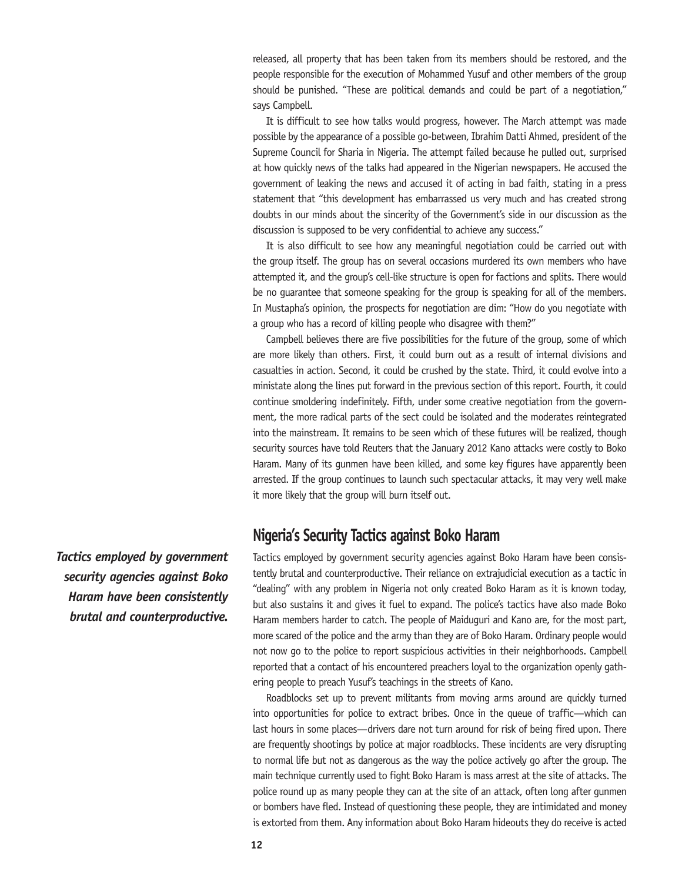released, all property that has been taken from its members should be restored, and the people responsible for the execution of Mohammed Yusuf and other members of the group should be punished. "These are political demands and could be part of a negotiation," says Campbell.

It is difficult to see how talks would progress, however. The March attempt was made possible by the appearance of a possible go-between, Ibrahim Datti Ahmed, president of the Supreme Council for Sharia in Nigeria. The attempt failed because he pulled out, surprised at how quickly news of the talks had appeared in the Nigerian newspapers. He accused the government of leaking the news and accused it of acting in bad faith, stating in a press statement that "this development has embarrassed us very much and has created strong doubts in our minds about the sincerity of the Government's side in our discussion as the discussion is supposed to be very confidential to achieve any success."

It is also difficult to see how any meaningful negotiation could be carried out with the group itself. The group has on several occasions murdered its own members who have attempted it, and the group's cell-like structure is open for factions and splits. There would be no guarantee that someone speaking for the group is speaking for all of the members. In Mustapha's opinion, the prospects for negotiation are dim: "How do you negotiate with a group who has a record of killing people who disagree with them?"

Campbell believes there are five possibilities for the future of the group, some of which are more likely than others. First, it could burn out as a result of internal divisions and casualties in action. Second, it could be crushed by the state. Third, it could evolve into a ministate along the lines put forward in the previous section of this report. Fourth, it could continue smoldering indefinitely. Fifth, under some creative negotiation from the government, the more radical parts of the sect could be isolated and the moderates reintegrated into the mainstream. It remains to be seen which of these futures will be realized, though security sources have told Reuters that the January 2012 Kano attacks were costly to Boko Haram. Many of its gunmen have been killed, and some key figures have apparently been arrested. If the group continues to launch such spectacular attacks, it may very well make it more likely that the group will burn itself out.

## **Nigeria's Security Tactics against Boko Haram**

Tactics employed by government security agencies against Boko Haram have been consistently brutal and counterproductive. Their reliance on extrajudicial execution as a tactic in "dealing" with any problem in Nigeria not only created Boko Haram as it is known today, but also sustains it and gives it fuel to expand. The police's tactics have also made Boko Haram members harder to catch. The people of Maiduguri and Kano are, for the most part, more scared of the police and the army than they are of Boko Haram. Ordinary people would not now go to the police to report suspicious activities in their neighborhoods. Campbell reported that a contact of his encountered preachers loyal to the organization openly gathering people to preach Yusuf's teachings in the streets of Kano.

Roadblocks set up to prevent militants from moving arms around are quickly turned into opportunities for police to extract bribes. Once in the queue of traffic—which can last hours in some places—drivers dare not turn around for risk of being fired upon. There are frequently shootings by police at major roadblocks. These incidents are very disrupting to normal life but not as dangerous as the way the police actively go after the group. The main technique currently used to fight Boko Haram is mass arrest at the site of attacks. The police round up as many people they can at the site of an attack, often long after gunmen or bombers have fled. Instead of questioning these people, they are intimidated and money is extorted from them. Any information about Boko Haram hideouts they do receive is acted

*Tactics employed by government security agencies against Boko Haram have been consistently brutal and counterproductive.*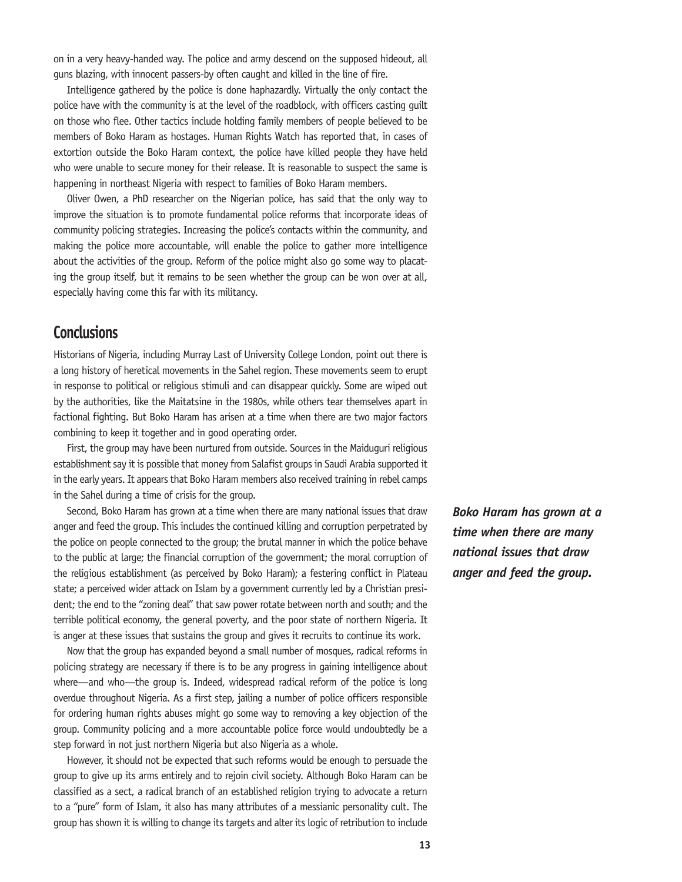on in a very heavy-handed way. The police and army descend on the supposed hideout, all guns blazing, with innocent passers-by often caught and killed in the line of fire.

Intelligence gathered by the police is done haphazardly. Virtually the only contact the police have with the community is at the level of the roadblock, with officers casting guilt on those who flee. Other tactics include holding family members of people believed to be members of Boko Haram as hostages. Human Rights Watch has reported that, in cases of extortion outside the Boko Haram context, the police have killed people they have held who were unable to secure money for their release. It is reasonable to suspect the same is happening in northeast Nigeria with respect to families of Boko Haram members.

Oliver Owen, a PhD researcher on the Nigerian police, has said that the only way to improve the situation is to promote fundamental police reforms that incorporate ideas of community policing strategies. Increasing the police's contacts within the community, and making the police more accountable, will enable the police to gather more intelligence about the activities of the group. Reform of the police might also go some way to placating the group itself, but it remains to be seen whether the group can be won over at all, especially having come this far with its militancy.

# **Conclusions**

Historians of Nigeria, including Murray Last of University College London, point out there is a long history of heretical movements in the Sahel region. These movements seem to erupt in response to political or religious stimuli and can disappear quickly. Some are wiped out by the authorities, like the Maitatsine in the 1980s, while others tear themselves apart in factional fighting. But Boko Haram has arisen at a time when there are two major factors combining to keep it together and in good operating order.

First, the group may have been nurtured from outside. Sources in the Maiduguri religious establishment say it is possible that money from Salafist groups in Saudi Arabia supported it in the early years. It appears that Boko Haram members also received training in rebel camps in the Sahel during a time of crisis for the group.

Second, Boko Haram has grown at a time when there are many national issues that draw anger and feed the group. This includes the continued killing and corruption perpetrated by the police on people connected to the group; the brutal manner in which the police behave to the public at large; the financial corruption of the government; the moral corruption of the religious establishment (as perceived by Boko Haram); a festering conflict in Plateau state; a perceived wider attack on Islam by a government currently led by a Christian president; the end to the "zoning deal" that saw power rotate between north and south; and the terrible political economy, the general poverty, and the poor state of northern Nigeria. It is anger at these issues that sustains the group and gives it recruits to continue its work.

Now that the group has expanded beyond a small number of mosques, radical reforms in policing strategy are necessary if there is to be any progress in gaining intelligence about where—and who—the group is. Indeed, widespread radical reform of the police is long overdue throughout Nigeria. As a first step, jailing a number of police officers responsible for ordering human rights abuses might go some way to removing a key objection of the group. Community policing and a more accountable police force would undoubtedly be a step forward in not just northern Nigeria but also Nigeria as a whole.

However, it should not be expected that such reforms would be enough to persuade the group to give up its arms entirely and to rejoin civil society. Although Boko Haram can be classified as a sect, a radical branch of an established religion trying to advocate a return to a "pure" form of Islam, it also has many attributes of a messianic personality cult. The group has shown it is willing to change its targets and alter its logic of retribution to include *Boko Haram has grown at a time when there are many national issues that draw anger and feed the group.*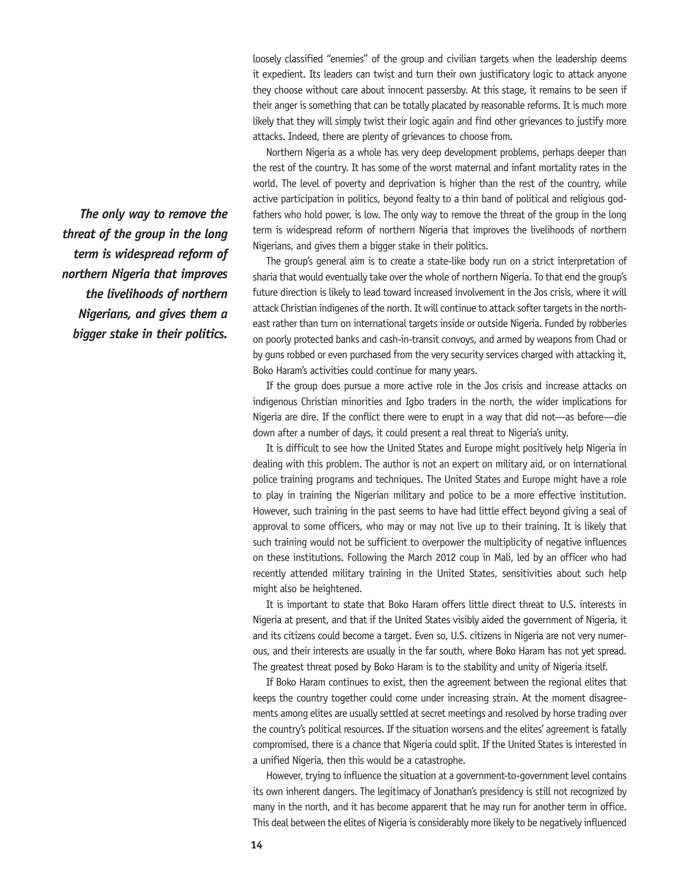loosely classified "enemies" of the group and civilian targets when the leadership deems it expedient. Its leaders can twist and turn their own justificatory logic to attack anyone they choose without care about innocent passersby. At this stage, it remains to be seen if their anger is something that can be totally placated by reasonable reforms. It is much more likely that they will simply twist their logic again and find other grievances to justify more attacks. Indeed, there are plenty of grievances to choose from.

Northern Nigeria as a whole has very deep development problems, perhaps deeper than the rest of the country. It has some of the worst maternal and infant mortality rates in the world. The level of poverty and deprivation is higher than the rest of the country, while active participation in politics, beyond fealty to a thin band of political and religious godfathers who hold power, is low. The only way to remove the threat of the group in the long term is widespread reform of northern Nigeria that improves the livelihoods of northern Nigerians, and gives them a bigger stake in their politics.

The group's general aim is to create a state-like body run on a strict interpretation of sharia that would eventually take over the whole of northern Nigeria. To that end the group's future direction is likely to lead toward increased involvement in the Jos crisis, where it will attack Christian indigenes of the north. It will continue to attack softer targets in the northeast rather than turn on international targets inside or outside Nigeria. Funded by robberies on poorly protected banks and cash-in-transit convoys, and armed by weapons from Chad or by guns robbed or even purchased from the very security services charged with attacking it, Boko Haram's activities could continue for many years.

If the group does pursue a more active role in the Jos crisis and increase attacks on indigenous Christian minorities and Igbo traders in the north, the wider implications for Nigeria are dire. If the conflict there were to erupt in a way that did not—as before—die down after a number of days, it could present a real threat to Nigeria's unity.

It is difficult to see how the United States and Europe might positively help Nigeria in dealing with this problem. The author is not an expert on military aid, or on international police training programs and techniques. The United States and Europe might have a role to play in training the Nigerian military and police to be a more effective institution. However, such training in the past seems to have had little effect beyond giving a seal of approval to some officers, who may or may not live up to their training. It is likely that such training would not be sufficient to overpower the multiplicity of negative influences on these institutions. Following the March 2012 coup in Mali, led by an officer who had recently attended military training in the United States, sensitivities about such help might also be heightened.

It is important to state that Boko Haram offers little direct threat to U.S. interests in Nigeria at present, and that if the United States visibly aided the government of Nigeria, it and its citizens could become a target. Even so, U.S. citizens in Nigeria are not very numerous, and their interests are usually in the far south, where Boko Haram has not yet spread. The greatest threat posed by Boko Haram is to the stability and unity of Nigeria itself.

If Boko Haram continues to exist, then the agreement between the regional elites that keeps the country together could come under increasing strain. At the moment disagreements among elites are usually settled at secret meetings and resolved by horse trading over the country's political resources. If the situation worsens and the elites' agreement is fatally compromised, there is a chance that Nigeria could split. If the United States is interested in a unified Nigeria, then this would be a catastrophe.

However, trying to influence the situation at a government-to-government level contains its own inherent dangers. The legitimacy of Jonathan's presidency is still not recognized by many in the north, and it has become apparent that he may run for another term in office. This deal between the elites of Nigeria is considerably more likely to be negatively influenced

*The only way to remove the threat of the group in the long term is widespread reform of northern Nigeria that improves the livelihoods of northern Nigerians, and gives them a bigger stake in their politics.*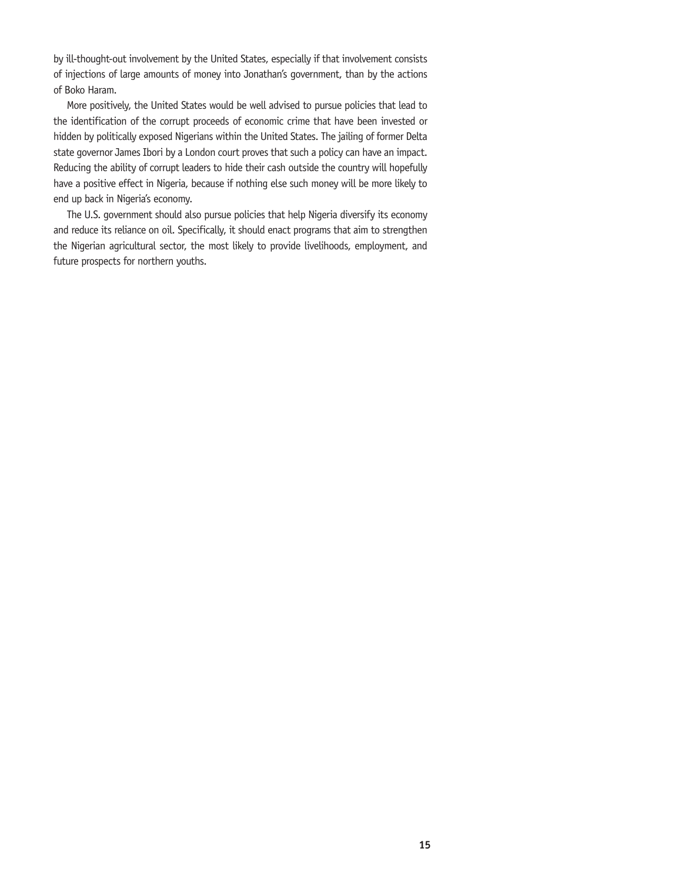by ill-thought-out involvement by the United States, especially if that involvement consists of injections of large amounts of money into Jonathan's government, than by the actions of Boko Haram.

More positively, the United States would be well advised to pursue policies that lead to the identification of the corrupt proceeds of economic crime that have been invested or hidden by politically exposed Nigerians within the United States. The jailing of former Delta state governor James Ibori by a London court proves that such a policy can have an impact. Reducing the ability of corrupt leaders to hide their cash outside the country will hopefully have a positive effect in Nigeria, because if nothing else such money will be more likely to end up back in Nigeria's economy.

The U.S. government should also pursue policies that help Nigeria diversify its economy and reduce its reliance on oil. Specifically, it should enact programs that aim to strengthen the Nigerian agricultural sector, the most likely to provide livelihoods, employment, and future prospects for northern youths.